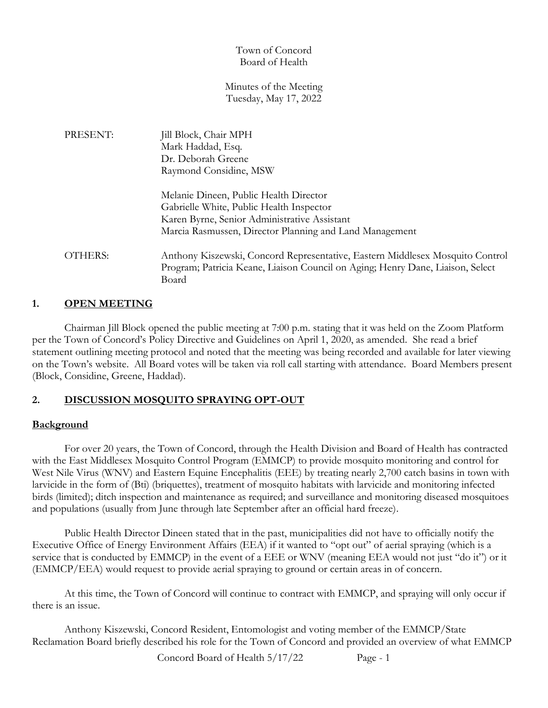### Town of Concord Board of Health

#### Minutes of the Meeting Tuesday, May 17, 2022

| PRESENT: | Jill Block, Chair MPH                                                          |
|----------|--------------------------------------------------------------------------------|
|          | Mark Haddad, Esq.                                                              |
|          | Dr. Deborah Greene                                                             |
|          | Raymond Considine, MSW                                                         |
|          | Melanie Dineen, Public Health Director                                         |
|          | Gabrielle White, Public Health Inspector                                       |
|          | Karen Byrne, Senior Administrative Assistant                                   |
|          | Marcia Rasmussen, Director Planning and Land Management                        |
| OTHERS:  | Anthony Kiszewski, Concord Representative, Eastern Middlesex Mosquito Control  |
|          | Program; Patricia Keane, Liaison Council on Aging; Henry Dane, Liaison, Select |
|          | Board                                                                          |

### **1. OPEN MEETING**

Chairman Jill Block opened the public meeting at 7:00 p.m. stating that it was held on the Zoom Platform per the Town of Concord's Policy Directive and Guidelines on April 1, 2020, as amended. She read a brief statement outlining meeting protocol and noted that the meeting was being recorded and available for later viewing on the Town's website. All Board votes will be taken via roll call starting with attendance. Board Members present (Block, Considine, Greene, Haddad).

# **2. DISCUSSION MOSQUITO SPRAYING OPT-OUT**

# **Background**

For over 20 years, the Town of Concord, through the Health Division and Board of Health has contracted with the East Middlesex Mosquito Control Program (EMMCP) to provide mosquito monitoring and control for West Nile Virus (WNV) and Eastern Equine Encephalitis (EEE) by treating nearly 2,700 catch basins in town with larvicide in the form of (Bti) (briquettes), treatment of mosquito habitats with larvicide and monitoring infected birds (limited); ditch inspection and maintenance as required; and surveillance and monitoring diseased mosquitoes and populations (usually from June through late September after an official hard freeze).

Public Health Director Dineen stated that in the past, municipalities did not have to officially notify the Executive Office of Energy Environment Affairs (EEA) if it wanted to "opt out" of aerial spraying (which is a service that is conducted by EMMCP) in the event of a EEE or WNV (meaning EEA would not just "do it") or it (EMMCP/EEA) would request to provide aerial spraying to ground or certain areas in of concern.

At this time, the Town of Concord will continue to contract with EMMCP, and spraying will only occur if there is an issue.

Anthony Kiszewski, Concord Resident, Entomologist and voting member of the EMMCP/State Reclamation Board briefly described his role for the Town of Concord and provided an overview of what EMMCP

Concord Board of Health 5/17/22 Page - 1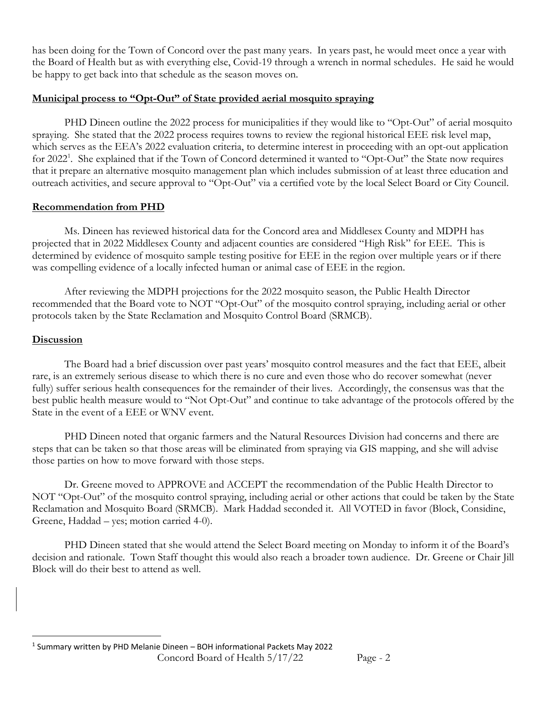has been doing for the Town of Concord over the past many years. In years past, he would meet once a year with the Board of Health but as with everything else, Covid-19 through a wrench in normal schedules. He said he would be happy to get back into that schedule as the season moves on.

### **Municipal process to "Opt-Out" of State provided aerial mosquito spraying**

PHD Dineen outline the 2022 process for municipalities if they would like to "Opt-Out" of aerial mosquito spraying. She stated that the 2022 process requires towns to review the regional historical EEE risk level map, which serves as the EEA's 2022 evaluation criteria, to determine interest in proceeding with an opt-out application for 2022<sup>1</sup>. She explained that if the Town of Concord determined it wanted to "Opt-Out" the State now requires that it prepare an alternative mosquito management plan which includes submission of at least three education and outreach activities, and secure approval to "Opt-Out" via a certified vote by the local Select Board or City Council.

### **Recommendation from PHD**

Ms. Dineen has reviewed historical data for the Concord area and Middlesex County and MDPH has projected that in 2022 Middlesex County and adjacent counties are considered "High Risk" for EEE. This is determined by evidence of mosquito sample testing positive for EEE in the region over multiple years or if there was compelling evidence of a locally infected human or animal case of EEE in the region.

After reviewing the MDPH projections for the 2022 mosquito season, the Public Health Director recommended that the Board vote to NOT "Opt-Out" of the mosquito control spraying, including aerial or other protocols taken by the State Reclamation and Mosquito Control Board (SRMCB).

### **Discussion**

The Board had a brief discussion over past years' mosquito control measures and the fact that EEE, albeit rare, is an extremely serious disease to which there is no cure and even those who do recover somewhat (never fully) suffer serious health consequences for the remainder of their lives. Accordingly, the consensus was that the best public health measure would to "Not Opt-Out" and continue to take advantage of the protocols offered by the State in the event of a EEE or WNV event.

PHD Dineen noted that organic farmers and the Natural Resources Division had concerns and there are steps that can be taken so that those areas will be eliminated from spraying via GIS mapping, and she will advise those parties on how to move forward with those steps.

Dr. Greene moved to APPROVE and ACCEPT the recommendation of the Public Health Director to NOT "Opt-Out" of the mosquito control spraying, including aerial or other actions that could be taken by the State Reclamation and Mosquito Board (SRMCB). Mark Haddad seconded it. All VOTED in favor (Block, Considine, Greene, Haddad – yes; motion carried 4-0).

PHD Dineen stated that she would attend the Select Board meeting on Monday to inform it of the Board's decision and rationale. Town Staff thought this would also reach a broader town audience. Dr. Greene or Chair Jill Block will do their best to attend as well.

<sup>1</sup> Summary written by PHD Melanie Dineen – BOH informational Packets May 2022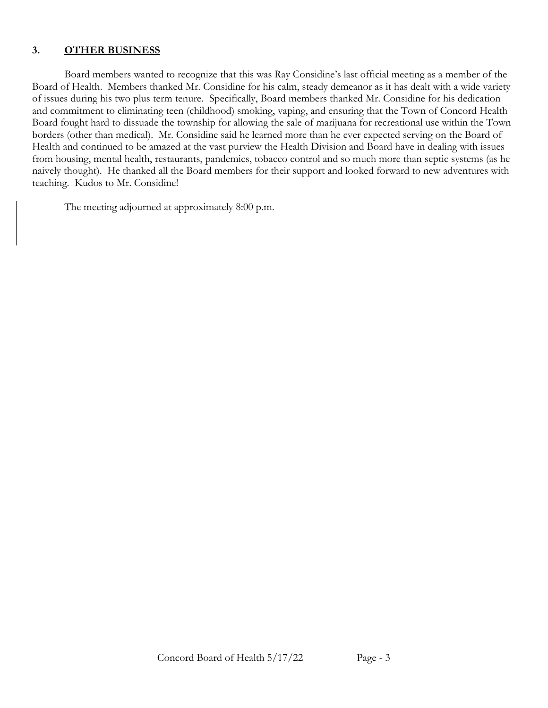### **3. OTHER BUSINESS**

Board members wanted to recognize that this was Ray Considine's last official meeting as a member of the Board of Health. Members thanked Mr. Considine for his calm, steady demeanor as it has dealt with a wide variety of issues during his two plus term tenure. Specifically, Board members thanked Mr. Considine for his dedication and commitment to eliminating teen (childhood) smoking, vaping, and ensuring that the Town of Concord Health Board fought hard to dissuade the township for allowing the sale of marijuana for recreational use within the Town borders (other than medical). Mr. Considine said he learned more than he ever expected serving on the Board of Health and continued to be amazed at the vast purview the Health Division and Board have in dealing with issues from housing, mental health, restaurants, pandemics, tobacco control and so much more than septic systems (as he naively thought). He thanked all the Board members for their support and looked forward to new adventures with teaching. Kudos to Mr. Considine!

The meeting adjourned at approximately 8:00 p.m.